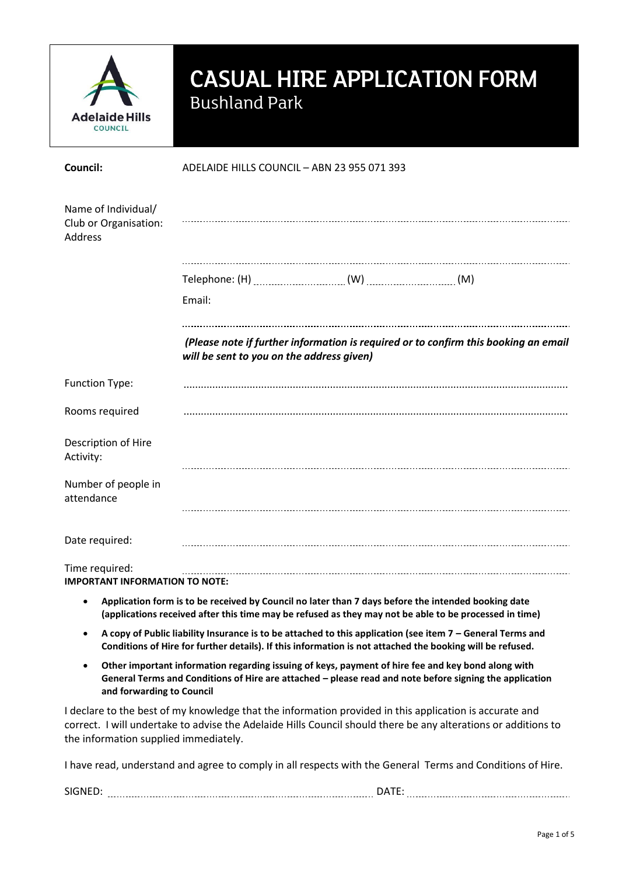

# CASUAL HIRE APPLICATION FORM Bushland Park

| Council:                                                | ADELAIDE HILLS COUNCIL - ABN 23 955 071 393                                                                                      |  |  |  |
|---------------------------------------------------------|----------------------------------------------------------------------------------------------------------------------------------|--|--|--|
| Name of Individual/<br>Club or Organisation:<br>Address |                                                                                                                                  |  |  |  |
|                                                         |                                                                                                                                  |  |  |  |
|                                                         | Email:                                                                                                                           |  |  |  |
|                                                         | (Please note if further information is required or to confirm this booking an email<br>will be sent to you on the address given) |  |  |  |
| Function Type:                                          |                                                                                                                                  |  |  |  |
| Rooms required                                          |                                                                                                                                  |  |  |  |
| Description of Hire<br>Activity:                        |                                                                                                                                  |  |  |  |
| Number of people in<br>attendance                       |                                                                                                                                  |  |  |  |
| Date required:                                          |                                                                                                                                  |  |  |  |
| Time required:<br><b>IMPORTANT INFORMATION TO NOTE:</b> |                                                                                                                                  |  |  |  |
|                                                         | Application form in to be perchical by Carmell as Jotsuthers 7 developed the intended beginned that                              |  |  |  |

- **Application form is to be received by Council no later than 7 days before the intended booking date (applications received after this time may be refused as they may not be able to be processed in time)**
- **A copy of Public liability Insurance is to be attached to this application (see item 7 – General Terms and Conditions of Hire for further details). If this information is not attached the booking will be refused.**
- **Other important information regarding issuing of keys, payment of hire fee and key bond along with General Terms and Conditions of Hire are attached – please read and note before signing the application and forwarding to Council**

I declare to the best of my knowledge that the information provided in this application is accurate and correct. I will undertake to advise the Adelaide Hills Council should there be any alterations or additions to the information supplied immediately.

I have read, understand and agree to comply in all respects with the General Terms and Conditions of Hire.

| <b>SIGNE</b> | - - -<br>$\overline{ }$ |  |
|--------------|-------------------------|--|
|              |                         |  |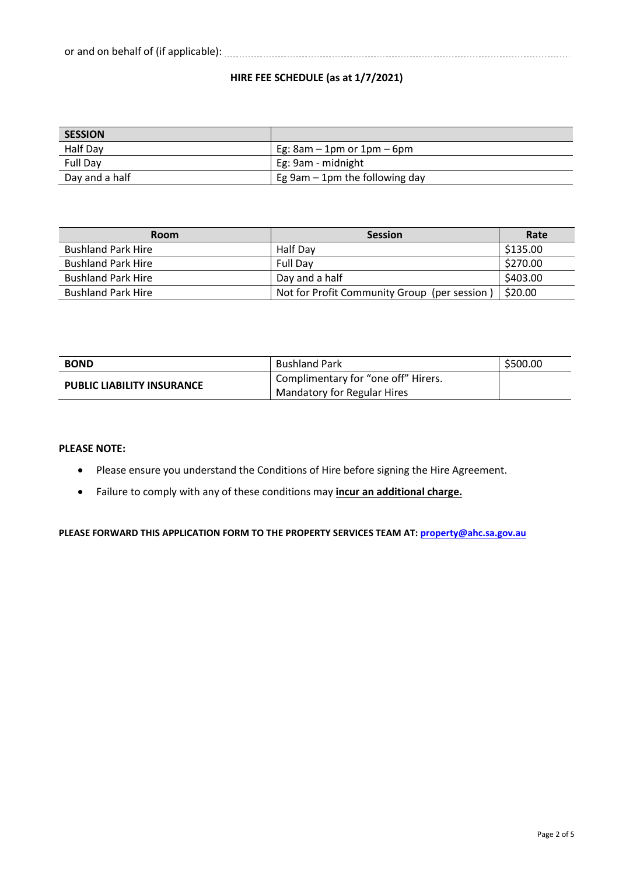# **HIRE FEE SCHEDULE (as at 1/7/2021)**

| <b>SESSION</b> |                                     |
|----------------|-------------------------------------|
| Half Day       | Eg: $8am - 1pm$ or $1pm - 6pm$      |
| Full Day       | Eg: 9am - midnight                  |
| Day and a half | Eg $9$ am $-1$ pm the following day |

| <b>Room</b>               | <b>Session</b>                               | Rate     |
|---------------------------|----------------------------------------------|----------|
| <b>Bushland Park Hire</b> | Half Dav                                     | \$135.00 |
| <b>Bushland Park Hire</b> | <b>Full Dav</b>                              | \$270.00 |
| <b>Bushland Park Hire</b> | Day and a half                               | \$403.00 |
| <b>Bushland Park Hire</b> | Not for Profit Community Group (per session) | \$20.00  |

| <b>BOND</b>                       | <b>Bushland Park</b>                  | \$500.00 |
|-----------------------------------|---------------------------------------|----------|
| <b>PUBLIC LIABILITY INSURANCE</b> | ' Complimentary for "one off" Hirers. |          |
|                                   | <b>Mandatory for Regular Hires</b>    |          |

# **PLEASE NOTE:**

- Please ensure you understand the Conditions of Hire before signing the Hire Agreement.
- Failure to comply with any of these conditions may **incur an additional charge.**

**PLEASE FORWARD THIS APPLICATION FORM TO THE PROPERTY SERVICES TEAM AT[: property@ahc.sa.gov.au](mailto:property@ahc.sa.gov.au)**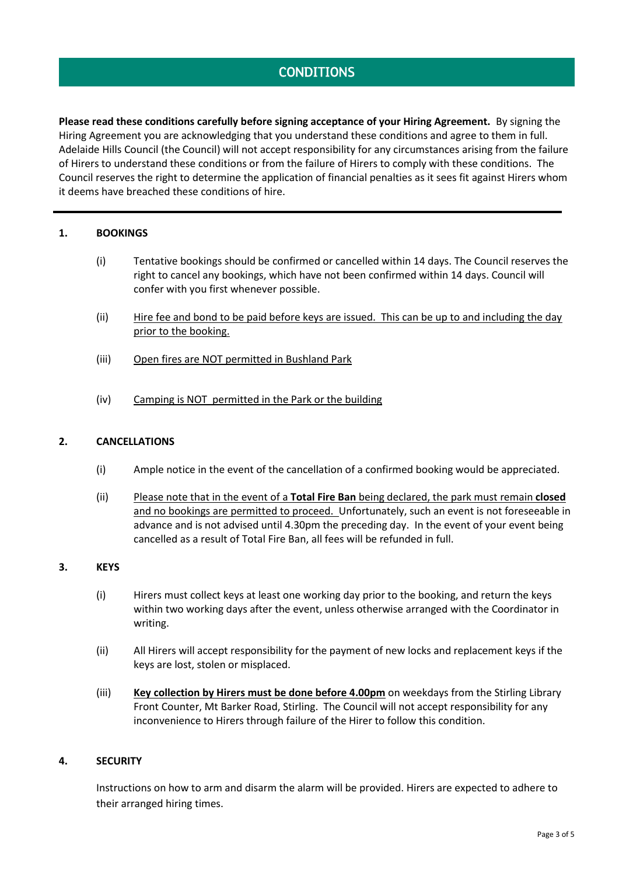# **CONDITIONS**

**Please read these conditions carefully before signing acceptance of your Hiring Agreement.** By signing the Hiring Agreement you are acknowledging that you understand these conditions and agree to them in full. Adelaide Hills Council (the Council) will not accept responsibility for any circumstances arising from the failure of Hirers to understand these conditions or from the failure of Hirers to comply with these conditions. The Council reserves the right to determine the application of financial penalties as it sees fit against Hirers whom it deems have breached these conditions of hire.

# **1. BOOKINGS**

- (i) Tentative bookings should be confirmed or cancelled within 14 days. The Council reserves the right to cancel any bookings, which have not been confirmed within 14 days. Council will confer with you first whenever possible.
- (ii) Hire fee and bond to be paid before keys are issued. This can be up to and including the day prior to the booking.
- (iii) Open fires are NOT permitted in Bushland Park
- (iv) Camping is NOT permitted in the Park or the building

# **2. CANCELLATIONS**

- (i) Ample notice in the event of the cancellation of a confirmed booking would be appreciated.
- (ii) Please note that in the event of a **Total Fire Ban** being declared, the park must remain **closed**  and no bookings are permitted to proceed. Unfortunately, such an event is not foreseeable in advance and is not advised until 4.30pm the preceding day. In the event of your event being cancelled as a result of Total Fire Ban, all fees will be refunded in full.

# **3. KEYS**

- (i) Hirers must collect keys at least one working day prior to the booking, and return the keys within two working days after the event, unless otherwise arranged with the Coordinator in writing.
- (ii) All Hirers will accept responsibility for the payment of new locks and replacement keys if the keys are lost, stolen or misplaced.
- (iii) **Key collection by Hirers must be done before 4.00pm** on weekdays from the Stirling Library Front Counter, Mt Barker Road, Stirling. The Council will not accept responsibility for any inconvenience to Hirers through failure of the Hirer to follow this condition.

# **4. SECURITY**

Instructions on how to arm and disarm the alarm will be provided. Hirers are expected to adhere to their arranged hiring times.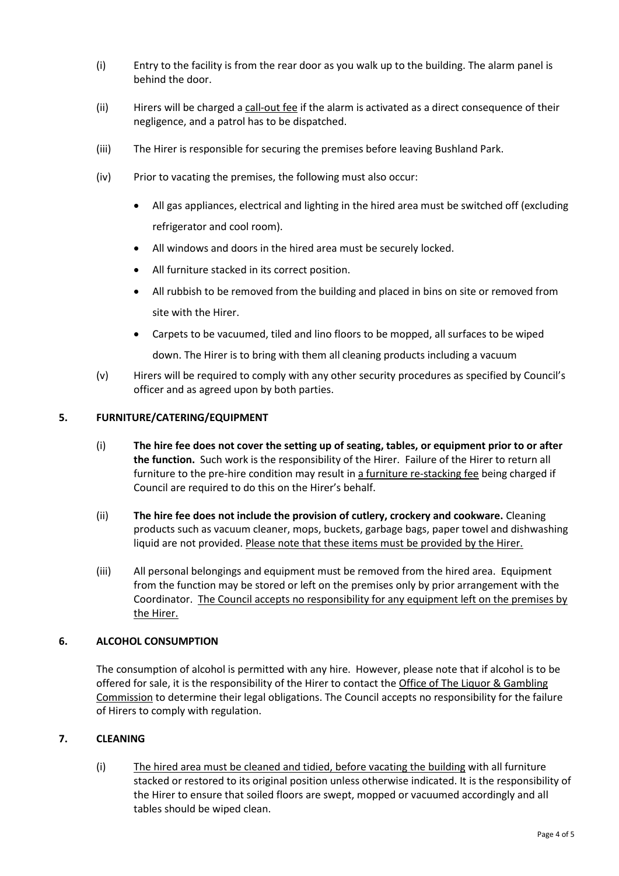- (i) Entry to the facility is from the rear door as you walk up to the building. The alarm panel is behind the door.
- (ii) Hirers will be charged a call-out fee if the alarm is activated as a direct consequence of their negligence, and a patrol has to be dispatched.
- (iii) The Hirer is responsible for securing the premises before leaving Bushland Park.
- (iv) Prior to vacating the premises, the following must also occur:
	- All gas appliances, electrical and lighting in the hired area must be switched off (excluding refrigerator and cool room).
	- All windows and doors in the hired area must be securely locked.
	- All furniture stacked in its correct position.
	- All rubbish to be removed from the building and placed in bins on site or removed from site with the Hirer.
	- Carpets to be vacuumed, tiled and lino floors to be mopped, all surfaces to be wiped down. The Hirer is to bring with them all cleaning products including a vacuum
- (v) Hirers will be required to comply with any other security procedures as specified by Council's officer and as agreed upon by both parties.

#### **5. FURNITURE/CATERING/EQUIPMENT**

- (i) **The hire fee does not cover the setting up of seating, tables, or equipment prior to or after the function.** Such work is the responsibility of the Hirer. Failure of the Hirer to return all furniture to the pre-hire condition may result in a furniture re-stacking fee being charged if Council are required to do this on the Hirer's behalf.
- (ii) **The hire fee does not include the provision of cutlery, crockery and cookware.** Cleaning products such as vacuum cleaner, mops, buckets, garbage bags, paper towel and dishwashing liquid are not provided. Please note that these items must be provided by the Hirer.
- (iii) All personal belongings and equipment must be removed from the hired area. Equipment from the function may be stored or left on the premises only by prior arrangement with the Coordinator. The Council accepts no responsibility for any equipment left on the premises by the Hirer.

# **6. ALCOHOL CONSUMPTION**

The consumption of alcohol is permitted with any hire. However, please note that if alcohol is to be offered for sale, it is the responsibility of the Hirer to contact the Office of The Liquor & Gambling Commission to determine their legal obligations. The Council accepts no responsibility for the failure of Hirers to comply with regulation.

# **7. CLEANING**

(i) The hired area must be cleaned and tidied, before vacating the building with all furniture stacked or restored to its original position unless otherwise indicated. It is the responsibility of the Hirer to ensure that soiled floors are swept, mopped or vacuumed accordingly and all tables should be wiped clean.